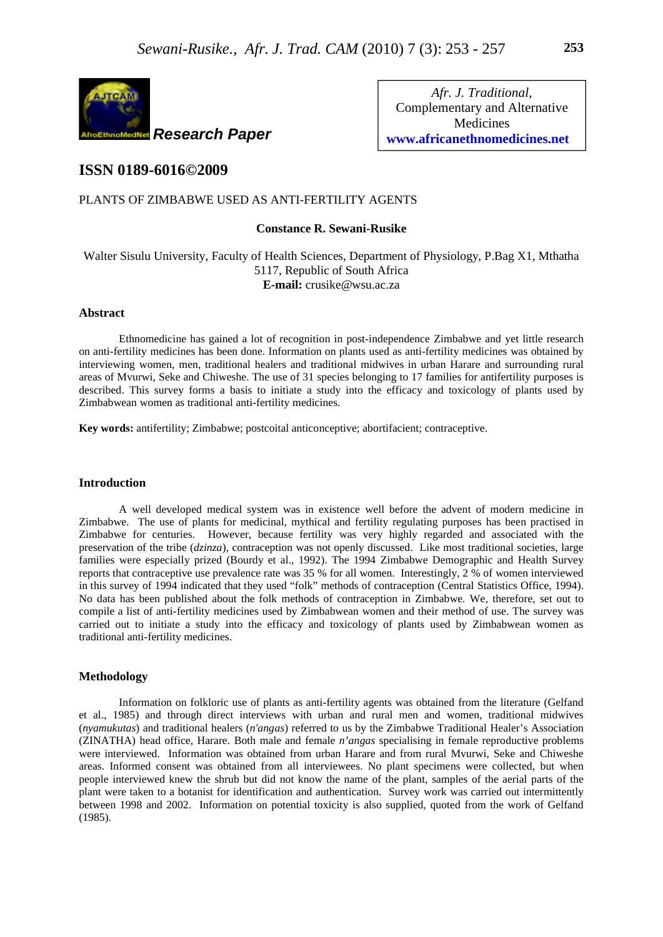

*Afr. J. Traditional*, Complementary and Alternative Medicines **www.africanethnomedicines.net**

# **ISSN 0189-6016©2009**

## PLANTS OF ZIMBABWE USED AS ANTI-FERTILITY AGENTS

## **Constance R. Sewani-Rusike**

## Walter Sisulu University, Faculty of Health Sciences, Department of Physiology, P.Bag X1, Mthatha 5117, Republic of South Africa **E-mail:** crusike@wsu.ac.za

#### **Abstract**

Ethnomedicine has gained a lot of recognition in post-independence Zimbabwe and yet little research on anti-fertility medicines has been done. Information on plants used as anti-fertility medicines was obtained by interviewing women, men, traditional healers and traditional midwives in urban Harare and surrounding rural areas of Mvurwi, Seke and Chiweshe. The use of 31 species belonging to 17 families for antifertility purposes is described. This survey forms a basis to initiate a study into the efficacy and toxicology of plants used by Zimbabwean women as traditional anti-fertility medicines.

**Key words:** antifertility; Zimbabwe; postcoital anticonceptive; abortifacient; contraceptive.

### **Introduction**

A well developed medical system was in existence well before the advent of modern medicine in Zimbabwe. The use of plants for medicinal, mythical and fertility regulating purposes has been practised in Zimbabwe for centuries. However, because fertility was very highly regarded and associated with the preservation of the tribe (*dzinza*), contraception was not openly discussed. Like most traditional societies, large families were especially prized (Bourdy et al., 1992). The 1994 Zimbabwe Demographic and Health Survey reports that contraceptive use prevalence rate was 35 % for all women. Interestingly, 2 % of women interviewed in this survey of 1994 indicated that they used "folk" methods of contraception (Central Statistics Office, 1994). No data has been published about the folk methods of contraception in Zimbabwe. We, therefore, set out to compile a list of anti-fertility medicines used by Zimbabwean women and their method of use. The survey was carried out to initiate a study into the efficacy and toxicology of plants used by Zimbabwean women as traditional anti-fertility medicines.

#### **Methodology**

Information on folkloric use of plants as anti-fertility agents was obtained from the literature (Gelfand et al., 1985) and through direct interviews with urban and rural men and women, traditional midwives (*nyamukutas*) and traditional healers (*n'angas*) referred to us by the Zimbabwe Traditional Healer's Association (ZINATHA) head office, Harare. Both male and female *n'angas* specialising in female reproductive problems were interviewed. Information was obtained from urban Harare and from rural Mvurwi, Seke and Chiweshe areas. Informed consent was obtained from all interviewees. No plant specimens were collected, but when people interviewed knew the shrub but did not know the name of the plant, samples of the aerial parts of the plant were taken to a botanist for identification and authentication. Survey work was carried out intermittently between 1998 and 2002. Information on potential toxicity is also supplied, quoted from the work of Gelfand (1985).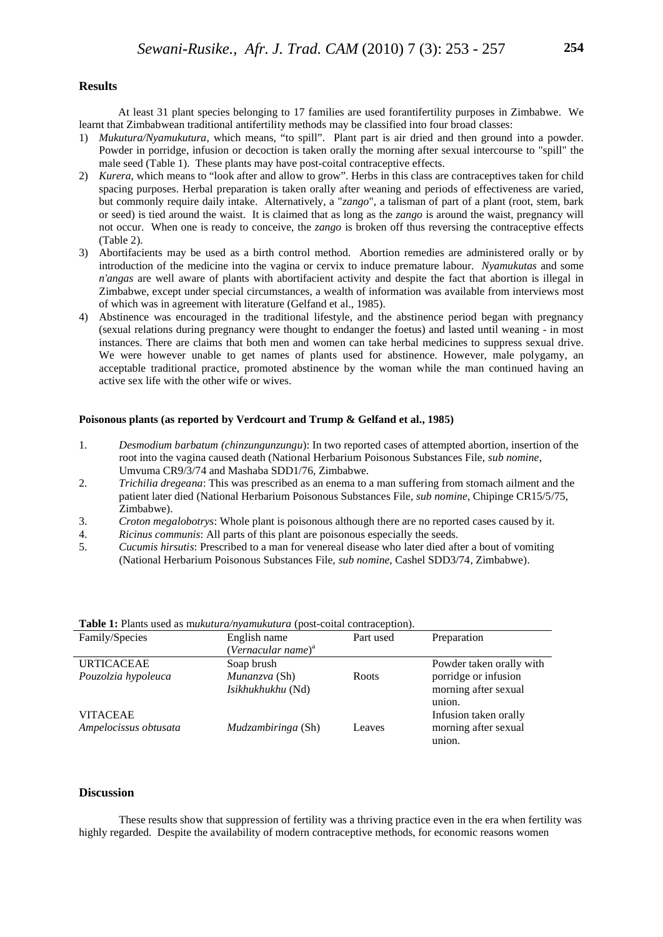### **Results**

 At least 31 plant species belonging to 17 families are used forantifertility purposes in Zimbabwe. We learnt that Zimbabwean traditional antifertility methods may be classified into four broad classes:

- 1) *Mukutura/Nyamukutura,* which means, "to spill". Plant part is air dried and then ground into a powder. Powder in porridge, infusion or decoction is taken orally the morning after sexual intercourse to "spill" the male seed (Table 1). These plants may have post-coital contraceptive effects.
- 2) *Kurera*, which means to "look after and allow to grow". Herbs in this class are contraceptives taken for child spacing purposes. Herbal preparation is taken orally after weaning and periods of effectiveness are varied, but commonly require daily intake. Alternatively, a "*zango*", a talisman of part of a plant (root, stem, bark or seed) is tied around the waist. It is claimed that as long as the *zango* is around the waist, pregnancy will not occur. When one is ready to conceive, the *zango* is broken off thus reversing the contraceptive effects (Table 2).
- 3) Abortifacients may be used as a birth control method. Abortion remedies are administered orally or by introduction of the medicine into the vagina or cervix to induce premature labour. *Nyamukutas* and some *n'angas* are well aware of plants with abortifacient activity and despite the fact that abortion is illegal in Zimbabwe, except under special circumstances, a wealth of information was available from interviews most of which was in agreement with literature (Gelfand et al., 1985).
- 4) Abstinence was encouraged in the traditional lifestyle, and the abstinence period began with pregnancy (sexual relations during pregnancy were thought to endanger the foetus) and lasted until weaning - in most instances. There are claims that both men and women can take herbal medicines to suppress sexual drive. We were however unable to get names of plants used for abstinence. However, male polygamy, an acceptable traditional practice, promoted abstinence by the woman while the man continued having an active sex life with the other wife or wives.

#### **Poisonous plants (as reported by Verdcourt and Trump & Gelfand et al., 1985)**

- 1. *Desmodium barbatum (chinzungunzungu*): In two reported cases of attempted abortion, insertion of the root into the vagina caused death (National Herbarium Poisonous Substances File, *sub nomine*, Umvuma CR9/3/74 and Mashaba SDD1/76, Zimbabwe.
- 2. *Trichilia dregeana*: This was prescribed as an enema to a man suffering from stomach ailment and the patient later died (National Herbarium Poisonous Substances File, *sub nomine*, Chipinge CR15/5/75, Zimbabwe).
- 3. *Croton megalobotrys*: Whole plant is poisonous although there are no reported cases caused by it.
- 4. *Ricinus communis*: All parts of this plant are poisonous especially the seeds.
- 5. *Cucumis hirsutis*: Prescribed to a man for venereal disease who later died after a bout of vomiting (National Herbarium Poisonous Substances File, *sub nomine*, Cashel SDD3/74, Zimbabwe).

| <b>Lable 1.</b> I failts used as interactive to retain and a spost-collar contract public. |                                |           |                          |  |  |
|--------------------------------------------------------------------------------------------|--------------------------------|-----------|--------------------------|--|--|
| Family/Species                                                                             | English name                   | Part used | Preparation              |  |  |
|                                                                                            | (Vernacular name) <sup>a</sup> |           |                          |  |  |
| <b>URTICACEAE</b>                                                                          | Soap brush                     |           | Powder taken orally with |  |  |
| Pouzolzia hypoleuca                                                                        | Munanzva (Sh)                  | Roots     | porridge or infusion     |  |  |
|                                                                                            | <i>Isikhukhukhu</i> (Nd)       |           | morning after sexual     |  |  |
|                                                                                            |                                |           | union.                   |  |  |
| <b>VITACEAE</b>                                                                            |                                |           | Infusion taken orally    |  |  |
| Ampelocissus obtusata                                                                      | Mudzambiringa (Sh)             | Leaves    | morning after sexual     |  |  |
|                                                                                            |                                |           | union.                   |  |  |

**Table 1:** Plants used as m*ukutura/nyamukutura* (post-coital contraception).

#### **Discussion**

These results show that suppression of fertility was a thriving practice even in the era when fertility was highly regarded. Despite the availability of modern contraceptive methods, for economic reasons women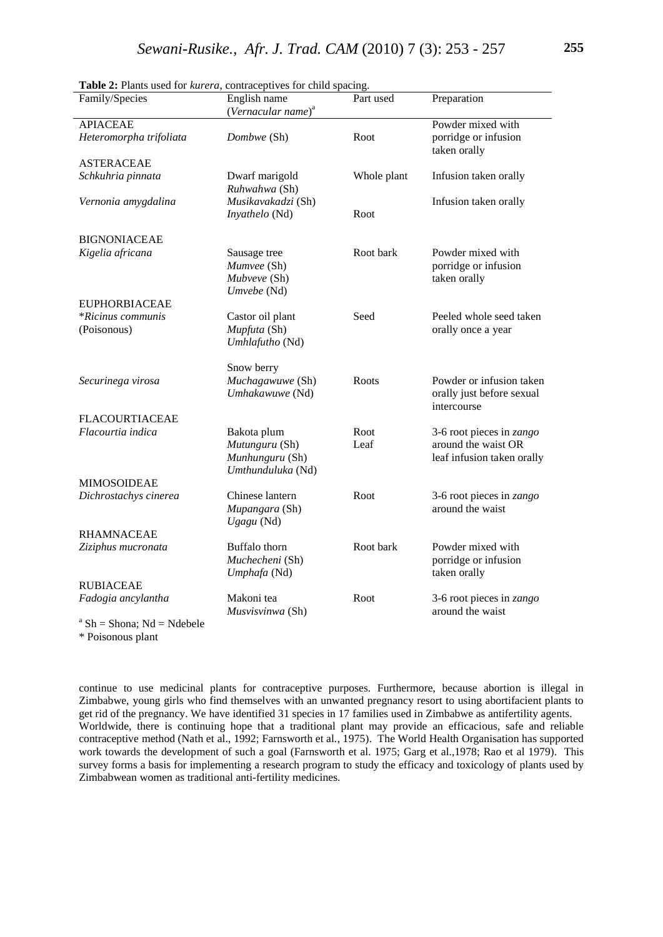| Family/Species                                                                           | English name                                                          | Part used    | Preparation                                                                   |
|------------------------------------------------------------------------------------------|-----------------------------------------------------------------------|--------------|-------------------------------------------------------------------------------|
|                                                                                          | (Vernacular name) <sup>a</sup>                                        |              |                                                                               |
| <b>APIACEAE</b>                                                                          |                                                                       |              | Powder mixed with                                                             |
| Heteromorpha trifoliata                                                                  | Dombwe (Sh)                                                           | Root         | porridge or infusion<br>taken orally                                          |
| <b>ASTERACEAE</b>                                                                        |                                                                       |              |                                                                               |
| Schkuhria pinnata                                                                        | Dwarf marigold<br>Ruhwahwa (Sh)                                       | Whole plant  | Infusion taken orally                                                         |
| Vernonia amygdalina                                                                      | Musikavakadzi (Sh)<br>Inyathelo (Nd)                                  | Root         | Infusion taken orally                                                         |
| <b>BIGNONIACEAE</b>                                                                      |                                                                       |              |                                                                               |
| Kigelia africana                                                                         | Sausage tree<br>Mumvee (Sh)<br>Mubveve (Sh)<br>Umvebe (Nd)            | Root bark    | Powder mixed with<br>porridge or infusion<br>taken orally                     |
| <b>EUPHORBIACEAE</b>                                                                     |                                                                       |              |                                                                               |
| *Ricinus communis<br>(Poisonous)                                                         | Castor oil plant<br>Mupfuta (Sh)<br>Umhlafutho (Nd)                   | Seed         | Peeled whole seed taken<br>orally once a year                                 |
|                                                                                          |                                                                       |              |                                                                               |
| Securinega virosa                                                                        | Snow berry<br>Muchagawuwe (Sh)<br>Umhakawuwe (Nd)                     | Roots        | Powder or infusion taken<br>orally just before sexual<br>intercourse          |
| <b>FLACOURTIACEAE</b>                                                                    |                                                                       |              |                                                                               |
| Flacourtia indica                                                                        | Bakota plum<br>Mutunguru (Sh)<br>Munhunguru (Sh)<br>Umthunduluka (Nd) | Root<br>Leaf | 3-6 root pieces in zango<br>around the waist OR<br>leaf infusion taken orally |
| <b>MIMOSOIDEAE</b>                                                                       |                                                                       |              |                                                                               |
| Dichrostachys cinerea                                                                    | Chinese lantern<br>Mupangara (Sh)<br>Ugagu (Nd)                       | Root         | 3-6 root pieces in <i>zango</i><br>around the waist                           |
| <b>RHAMNACEAE</b>                                                                        |                                                                       |              |                                                                               |
| Ziziphus mucronata                                                                       | Buffalo thorn<br>Muchecheni (Sh)<br>Umphafa (Nd)                      | Root bark    | Powder mixed with<br>porridge or infusion<br>taken orally                     |
| <b>RUBIACEAE</b>                                                                         |                                                                       |              |                                                                               |
| Fadogia ancylantha                                                                       | Makoni tea<br>Musvisvinwa (Sh)                                        | Root         | 3-6 root pieces in zango<br>around the waist                                  |
| $^a$ C <sub>k</sub> $\sim$ C <sub>kono</sub> , M <sub>d</sub> $\sim$ M <sub>dakala</sub> |                                                                       |              |                                                                               |

**Table 2:** Plants used for *kurera*, contraceptives for child spacing.

 $Sh = Shona$ ;  $Nd = Ndebele$ 

\* Poisonous plant

continue to use medicinal plants for contraceptive purposes. Furthermore, because abortion is illegal in Zimbabwe, young girls who find themselves with an unwanted pregnancy resort to using abortifacient plants to get rid of the pregnancy. We have identified 31 species in 17 families used in Zimbabwe as antifertility agents. Worldwide, there is continuing hope that a traditional plant may provide an efficacious, safe and reliable contraceptive method (Nath et al., 1992; Farnsworth et al., 1975). The World Health Organisation has supported work towards the development of such a goal (Farnsworth et al. 1975; Garg et al.,1978; Rao et al 1979). This survey forms a basis for implementing a research program to study the efficacy and toxicology of plants used by Zimbabwean women as traditional anti-fertility medicines.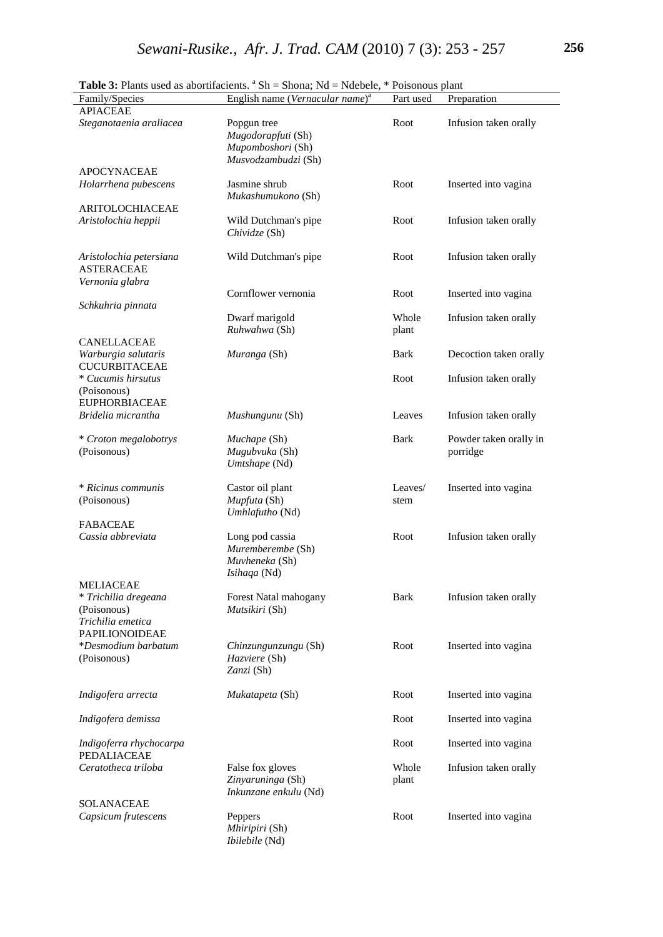|                                                           | <b>Table 3:</b> Plants used as abortifacients. "Sh = Shona; Nd = Ndebele, * Poisonous plant |                |                                    |
|-----------------------------------------------------------|---------------------------------------------------------------------------------------------|----------------|------------------------------------|
| Family/Species                                            | English name (Vernacular name) <sup>a</sup>                                                 | Part used      | Preparation                        |
| <b>APIACEAE</b>                                           |                                                                                             |                |                                    |
| Steganotaenia araliacea                                   | Popgun tree<br>Mugodorapfuti (Sh)<br>Mupomboshori (Sh)<br>Musvodzambudzi (Sh)               | Root           | Infusion taken orally              |
| <b>APOCYNACEAE</b>                                        |                                                                                             |                |                                    |
| Holarrhena pubescens                                      | Jasmine shrub<br>Mukashumukono (Sh)                                                         | Root           | Inserted into vagina               |
| <b>ARITOLOCHIACEAE</b>                                    |                                                                                             |                |                                    |
| Aristolochia heppii                                       | Wild Dutchman's pipe<br>Chividze (Sh)                                                       | Root           | Infusion taken orally              |
| Aristolochia petersiana<br><b>ASTERACEAE</b>              | Wild Dutchman's pipe                                                                        | Root           | Infusion taken orally              |
| Vernonia glabra                                           | Cornflower vernonia                                                                         | Root           | Inserted into vagina               |
| Schkuhria pinnata                                         |                                                                                             |                |                                    |
|                                                           | Dwarf marigold<br>Ruhwahwa (Sh)                                                             | Whole<br>plant | Infusion taken orally              |
| CANELLACEAE                                               |                                                                                             |                |                                    |
| Warburgia salutaris<br><b>CUCURBITACEAE</b>               | Muranga (Sh)                                                                                | <b>Bark</b>    | Decoction taken orally             |
| * Cucumis hirsutus<br>(Poisonous)<br><b>EUPHORBIACEAE</b> |                                                                                             | Root           | Infusion taken orally              |
| Bridelia micrantha                                        | Mushungunu (Sh)                                                                             | Leaves         | Infusion taken orally              |
|                                                           |                                                                                             |                |                                    |
| * Croton megalobotrys<br>(Poisonous)                      | Muchape (Sh)<br>Mugubvuka (Sh)<br>Umtshape (Nd)                                             | <b>Bark</b>    | Powder taken orally in<br>porridge |
|                                                           |                                                                                             |                |                                    |
| * Ricinus communis                                        | Castor oil plant                                                                            | Leaves/        | Inserted into vagina               |
| (Poisonous)                                               | Mupfuta (Sh)<br>Umhlafutho (Nd)                                                             | stem           |                                    |
| <b>FABACEAE</b>                                           |                                                                                             |                |                                    |
| Cassia abbreviata                                         | Long pod cassia<br>Muremberembe (Sh)<br>Muvheneka (Sh)<br>Isihaqa (Nd)                      | Root           | Infusion taken orally              |
| <b>MELIACEAE</b>                                          |                                                                                             |                |                                    |
| * Trichilia dregeana<br>(Poisonous)                       | Forest Natal mahogany<br>Mutsikiri (Sh)                                                     | <b>Bark</b>    | Infusion taken orally              |
| Trichilia emetica<br><b>PAPILIONOIDEAE</b>                |                                                                                             |                |                                    |
| *Desmodium barbatum                                       | Chinzungunzungu (Sh)                                                                        | Root           | Inserted into vagina               |
| (Poisonous)                                               | Hazviere (Sh)<br>Zanzi (Sh)                                                                 |                |                                    |
| Indigofera arrecta                                        | Mukatapeta (Sh)                                                                             | Root           | Inserted into vagina               |
| Indigofera demissa                                        |                                                                                             | Root           | Inserted into vagina               |
| Indigoferra rhychocarpa<br>PEDALIACEAE                    |                                                                                             | Root           | Inserted into vagina               |
| Ceratotheca triloba                                       | False fox gloves<br>Zinyaruninga (Sh)<br>Inkunzane enkulu (Nd)                              | Whole<br>plant | Infusion taken orally              |
| SOLANACEAE                                                |                                                                                             |                |                                    |
| Capsicum frutescens                                       | Peppers<br>Mhiripiri (Sh)<br>Ibilebile (Nd)                                                 | Root           | Inserted into vagina               |

Table 3: Plants used as abortifacients. <sup>a</sup> Sh = Shona; Nd = Ndebele, \* Poisonous plant